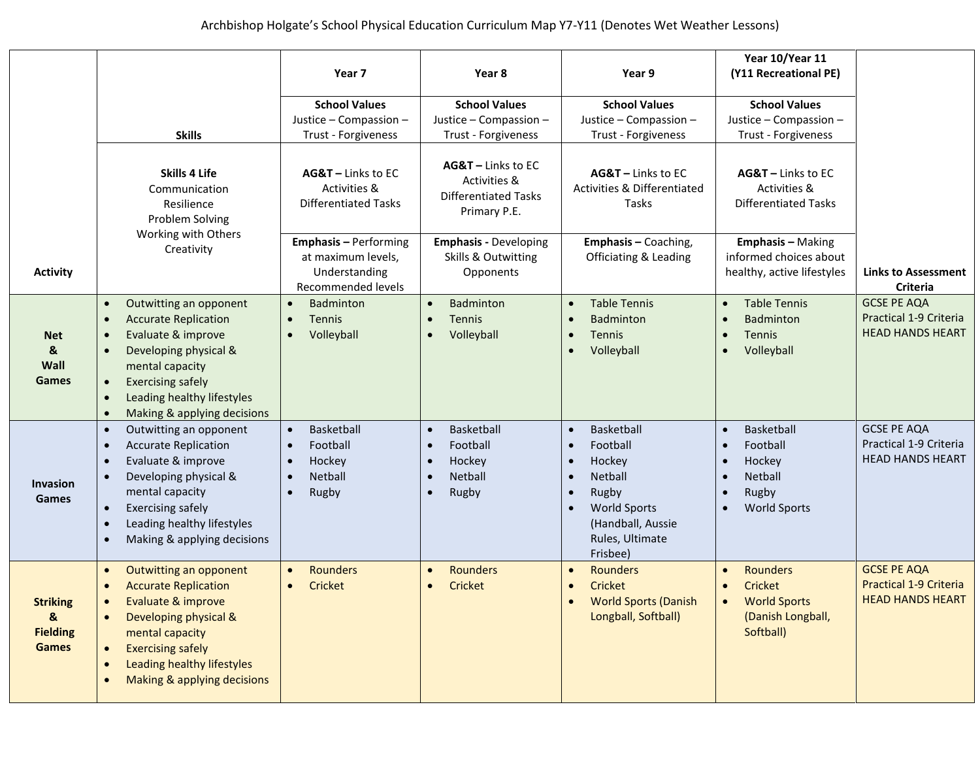|                                                         |                                                                                                                                                                                                                                                                                                |                                                                                                    |                                                                                       |                                                                                                                                                                               | Year 10/Year 11                                                                                                                                     |                                                                                |
|---------------------------------------------------------|------------------------------------------------------------------------------------------------------------------------------------------------------------------------------------------------------------------------------------------------------------------------------------------------|----------------------------------------------------------------------------------------------------|---------------------------------------------------------------------------------------|-------------------------------------------------------------------------------------------------------------------------------------------------------------------------------|-----------------------------------------------------------------------------------------------------------------------------------------------------|--------------------------------------------------------------------------------|
|                                                         |                                                                                                                                                                                                                                                                                                | Year 7                                                                                             | Year 8                                                                                | Year 9                                                                                                                                                                        | (Y11 Recreational PE)                                                                                                                               |                                                                                |
|                                                         |                                                                                                                                                                                                                                                                                                | <b>School Values</b>                                                                               | <b>School Values</b>                                                                  | <b>School Values</b>                                                                                                                                                          | <b>School Values</b>                                                                                                                                |                                                                                |
|                                                         |                                                                                                                                                                                                                                                                                                | Justice - Compassion -                                                                             | Justice - Compassion -                                                                | Justice - Compassion -                                                                                                                                                        | Justice - Compassion -                                                                                                                              |                                                                                |
|                                                         | <b>Skills</b>                                                                                                                                                                                                                                                                                  | Trust - Forgiveness                                                                                | Trust - Forgiveness                                                                   | Trust - Forgiveness                                                                                                                                                           | Trust - Forgiveness                                                                                                                                 |                                                                                |
|                                                         | <b>Skills 4 Life</b><br>Communication<br>Resilience<br>Problem Solving<br>Working with Others                                                                                                                                                                                                  | AG&T - Links to EC<br>Activities &<br><b>Differentiated Tasks</b>                                  | AG&T - Links to EC<br>Activities &<br><b>Differentiated Tasks</b><br>Primary P.E.     | AG&T - Links to EC<br><b>Activities &amp; Differentiated</b><br>Tasks                                                                                                         | AG&T - Links to EC<br>Activities &<br><b>Differentiated Tasks</b>                                                                                   |                                                                                |
|                                                         | Creativity                                                                                                                                                                                                                                                                                     | <b>Emphasis - Performing</b>                                                                       | <b>Emphasis - Developing</b>                                                          | <b>Emphasis - Coaching,</b>                                                                                                                                                   | <b>Emphasis - Making</b>                                                                                                                            |                                                                                |
| <b>Activity</b>                                         |                                                                                                                                                                                                                                                                                                | at maximum levels,<br>Understanding<br>Recommended levels                                          | Skills & Outwitting<br>Opponents                                                      | <b>Officiating &amp; Leading</b>                                                                                                                                              | informed choices about<br>healthy, active lifestyles                                                                                                | <b>Links to Assessment</b><br>Criteria                                         |
|                                                         | Outwitting an opponent<br>$\bullet$                                                                                                                                                                                                                                                            | Badminton                                                                                          | Badminton                                                                             | <b>Table Tennis</b><br>$\bullet$                                                                                                                                              | <b>Table Tennis</b><br>$\bullet$                                                                                                                    | <b>GCSE PE AQA</b>                                                             |
|                                                         | <b>Accurate Replication</b><br>$\bullet$                                                                                                                                                                                                                                                       | <b>Tennis</b>                                                                                      | <b>Tennis</b>                                                                         | <b>Badminton</b>                                                                                                                                                              | <b>Badminton</b>                                                                                                                                    | Practical 1-9 Criteria                                                         |
| <b>Net</b>                                              | Evaluate & improve<br>$\bullet$                                                                                                                                                                                                                                                                | Volleyball                                                                                         | Volleyball                                                                            | Tennis<br>$\bullet$                                                                                                                                                           | Tennis<br>$\bullet$                                                                                                                                 | <b>HEAD HANDS HEART</b>                                                        |
| &<br>Wall<br>Games                                      | Developing physical &<br>$\bullet$<br>mental capacity<br><b>Exercising safely</b><br>$\bullet$<br>Leading healthy lifestyles<br>$\bullet$                                                                                                                                                      |                                                                                                    |                                                                                       | Volleyball                                                                                                                                                                    | Volleyball<br>$\bullet$                                                                                                                             |                                                                                |
|                                                         | Making & applying decisions<br>$\bullet$                                                                                                                                                                                                                                                       |                                                                                                    |                                                                                       |                                                                                                                                                                               |                                                                                                                                                     |                                                                                |
| <b>Invasion</b><br>Games                                | Outwitting an opponent<br>$\bullet$<br><b>Accurate Replication</b><br>$\bullet$<br>Evaluate & improve<br>$\bullet$<br>Developing physical &<br>mental capacity<br><b>Exercising safely</b><br>$\bullet$<br>Leading healthy lifestyles<br>$\bullet$<br>Making & applying decisions<br>$\bullet$ | Basketball<br>$\bullet$<br>Football<br>Hockey<br>$\bullet$<br><b>Netball</b><br>$\bullet$<br>Rugby | Basketball<br>Football<br>Hockey<br><b>Netball</b><br>$\bullet$<br>Rugby<br>$\bullet$ | Basketball<br>$\bullet$<br>Football<br>Hockey<br>$\bullet$<br><b>Netball</b><br>$\bullet$<br>Rugby<br><b>World Sports</b><br>(Handball, Aussie<br>Rules, Ultimate<br>Frisbee) | Basketball<br>$\bullet$<br>Football<br>Hockey<br>$\bullet$<br><b>Netball</b><br>$\bullet$<br>Rugby<br>$\bullet$<br><b>World Sports</b><br>$\bullet$ | <b>GCSE PE AQA</b><br>Practical 1-9 Criteria<br><b>HEAD HANDS HEART</b>        |
| <b>Striking</b><br>&<br><b>Fielding</b><br><b>Games</b> | Outwitting an opponent<br>$\bullet$<br><b>Accurate Replication</b><br>Evaluate & improve<br>Developing physical &<br>$\bullet$<br>mental capacity<br><b>Exercising safely</b><br>Leading healthy lifestyles<br>$\bullet$<br>Making & applying decisions                                        | <b>Rounders</b><br>Cricket                                                                         | <b>Rounders</b><br>Cricket                                                            | <b>Rounders</b><br>Cricket<br><b>World Sports (Danish</b><br>Longball, Softball)                                                                                              | <b>Rounders</b><br>$\bullet$<br>Cricket<br><b>World Sports</b><br>$\bullet$<br>(Danish Longball,<br>Softball)                                       | <b>GCSE PE AQA</b><br><b>Practical 1-9 Criteria</b><br><b>HEAD HANDS HEART</b> |